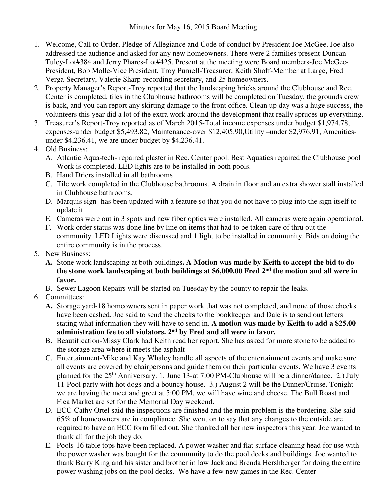- 1. Welcome, Call to Order, Pledge of Allegiance and Code of conduct by President Joe McGee. Joe also addressed the audience and asked for any new homeowners. There were 2 families present-Duncan Tuley-Lot#384 and Jerry Phares-Lot#425. Present at the meeting were Board members-Joe McGee-President, Bob Molle-Vice President, Troy Purnell-Treasurer, Keith Shoff-Member at Large, Fred Verga-Secretary, Valerie Sharp-recording secretary, and 25 homeowners.
- 2. Property Manager's Report-Troy reported that the landscaping bricks around the Clubhouse and Rec. Center is completed, tiles in the Clubhouse bathrooms will be completed on Tuesday, the grounds crew is back, and you can report any skirting damage to the front office. Clean up day was a huge success, the volunteers this year did a lot of the extra work around the development that really spruces up everything.
- 3. Treasurer's Report-Troy reported as of March 2015-Total income expenses under budget \$1,974.78, expenses-under budget \$5,493.82, Maintenance-over \$12,405.90,Utility –under \$2,976.91, Amenitiesunder \$4,236.41, we are under budget by \$4,236.41.
- 4. Old Business:
	- A. Atlantic Aqua-tech- repaired plaster in Rec. Center pool. Best Aquatics repaired the Clubhouse pool Work is completed. LED lights are to be installed in both pools.
	- B. Hand Driers installed in all bathrooms
	- C. Tile work completed in the Clubhouse bathrooms. A drain in floor and an extra shower stall installed in Clubhouse bathrooms.
	- D. Marquis sign- has been updated with a feature so that you do not have to plug into the sign itself to update it.
	- E. Cameras were out in 3 spots and new fiber optics were installed. All cameras were again operational.
	- F. Work order status was done line by line on items that had to be taken care of thru out the community. LED Lights were discussed and 1 light to be installed in community. Bids on doing the entire community is in the process.
- 5. New Business:
	- **A.** Stone work landscaping at both buildings**. A Motion was made by Keith to accept the bid to do the stone work landscaping at both buildings at \$6,000.00 Fred 2nd the motion and all were in favor.**
	- B. Sewer Lagoon Repairs will be started on Tuesday by the county to repair the leaks.
- 6. Committees:
	- **A.** Storage yard-18 homeowners sent in paper work that was not completed, and none of those checks have been cashed. Joe said to send the checks to the bookkeeper and Dale is to send out letters stating what information they will have to send in. **A motion was made by Keith to add a \$25.00 administration fee to all violators. 2nd by Fred and all were in favor.**
	- B. Beautification-Missy Clark had Keith read her report. She has asked for more stone to be added to the storage area where it meets the asphalt
	- C. Entertainment-Mike and Kay Whaley handle all aspects of the entertainment events and make sure all events are covered by chairpersons and guide them on their particular events. We have 3 events planned for the 25th Anniversary. 1. June 13-at 7:00 PM-Clubhouse will be a dinner/dance. 2.) July 11-Pool party with hot dogs and a bouncy house. 3.) August 2 will be the Dinner/Cruise. Tonight we are having the meet and greet at 5:00 PM, we will have wine and cheese. The Bull Roast and Flea Market are set for the Memorial Day weekend.
	- D. ECC-Cathy Ortel said the inspections are finished and the main problem is the bordering. She said 65% of homeowners are in compliance. She went on to say that any changes to the outside are required to have an ECC form filled out. She thanked all her new inspectors this year. Joe wanted to thank all for the job they do.
	- E. Pools-16 table tops have been replaced. A power washer and flat surface cleaning head for use with the power washer was bought for the community to do the pool decks and buildings. Joe wanted to thank Barry King and his sister and brother in law Jack and Brenda Hershberger for doing the entire power washing jobs on the pool decks. We have a few new games in the Rec. Center